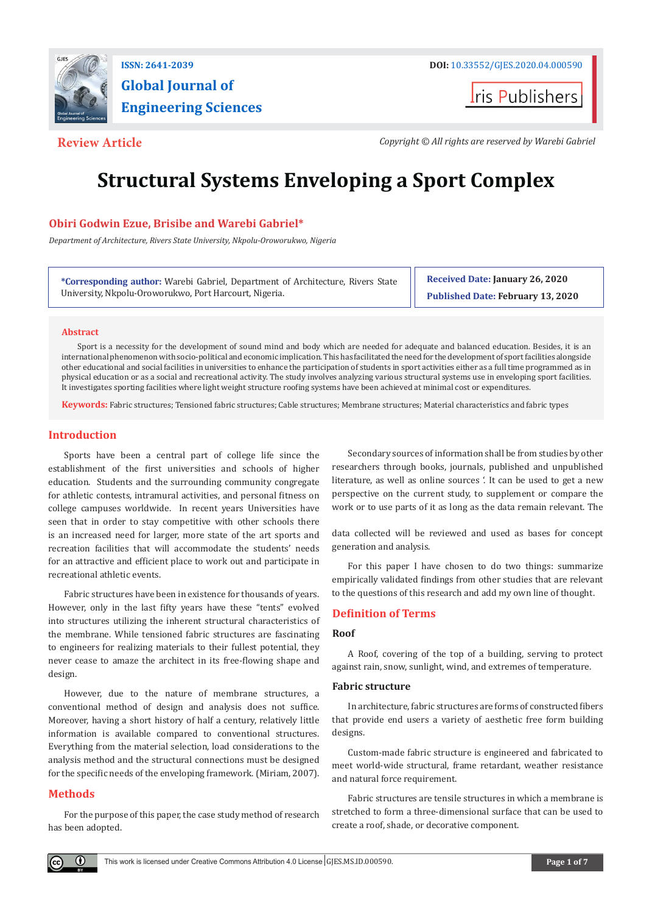

# **Global Journal of Engineering Sciences**

**t**ris Publishers

**Review Article** *Copyright © All rights are reserved by Warebi Gabriel*

## **Structural Systems Enveloping a Sport Complex**

#### **Obiri Godwin Ezue, Brisibe and Warebi Gabriel\***

*Department of Architecture, Rivers State University, Nkpolu-Oroworukwo, Nigeria*

**\*Corresponding author:** Warebi Gabriel, Department of Architecture, Rivers State University, Nkpolu-Oroworukwo, Port Harcourt, Nigeria.

**Received Date: January 26, 2020 Published Date: February 13, 2020**

#### **Abstract**

Sport is a necessity for the development of sound mind and body which are needed for adequate and balanced education. Besides, it is an international phenomenon with socio-political and economic implication. This has facilitated the need for the development of sport facilities alongside other educational and social facilities in universities to enhance the participation of students in sport activities either as a full time programmed as in physical education or as a social and recreational activity. The study involves analyzing various structural systems use in enveloping sport facilities. It investigates sporting facilities where light weight structure roofing systems have been achieved at minimal cost or expenditures.

**Keywords:** Fabric structures; Tensioned fabric structures; Cable structures; Membrane structures; Material characteristics and fabric types

#### **Introduction**

Sports have been a central part of college life since the establishment of the first universities and schools of higher education. Students and the surrounding community congregate for athletic contests, intramural activities, and personal fitness on college campuses worldwide. In recent years Universities have seen that in order to stay competitive with other schools there is an increased need for larger, more state of the art sports and recreation facilities that will accommodate the students' needs for an attractive and efficient place to work out and participate in recreational athletic events.

Fabric structures have been in existence for thousands of years. However, only in the last fifty years have these "tents" evolved into structures utilizing the inherent structural characteristics of the membrane. While tensioned fabric structures are fascinating to engineers for realizing materials to their fullest potential, they never cease to amaze the architect in its free-flowing shape and design.

However, due to the nature of membrane structures, a conventional method of design and analysis does not suffice. Moreover, having a short history of half a century, relatively little information is available compared to conventional structures. Everything from the material selection, load considerations to the analysis method and the structural connections must be designed for the specific needs of the enveloping framework. (Miriam, 2007).

#### **Methods**

For the purpose of this paper, the case study method of research has been adopted.

Secondary sources of information shall be from studies by other researchers through books, journals, published and unpublished literature, as well as online sources '. It can be used to get a new perspective on the current study, to supplement or compare the work or to use parts of it as long as the data remain relevant. The

data collected will be reviewed and used as bases for concept generation and analysis.

For this paper I have chosen to do two things: summarize empirically validated findings from other studies that are relevant to the questions of this research and add my own line of thought.

#### **Definition of Terms**

#### **Roof**

A Roof, covering of the top of a building, serving to protect against rain, snow, sunlight, wind, and extremes of temperature.

#### **Fabric structure**

In architecture, fabric structures are forms of constructed fibers that provide end users a variety of aesthetic free form building designs.

Custom-made fabric structure is engineered and fabricated to meet world-wide structural, frame retardant, weather resistance and natural force requirement.

Fabric structures are tensile structures in which a membrane is stretched to form a three-dimensional surface that can be used to create a roof, shade, or decorative component.

O.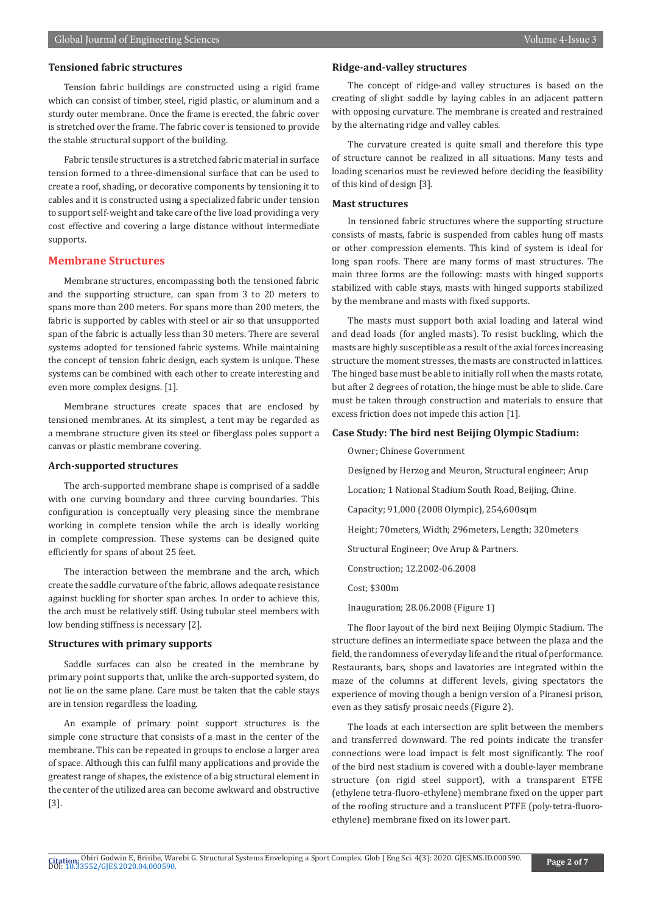#### **Tensioned fabric structures**

Tension fabric buildings are constructed using a rigid frame which can consist of timber, steel, rigid plastic, or aluminum and a sturdy outer membrane. Once the frame is erected, the fabric cover is stretched over the frame. The fabric cover is tensioned to provide the stable structural support of the building.

Fabric tensile structures is a stretched fabric material in surface tension formed to a three-dimensional surface that can be used to create a roof, shading, or decorative components by tensioning it to cables and it is constructed using a specialized fabric under tension to support self-weight and take care of the live load providing a very cost effective and covering a large distance without intermediate supports.

#### **Membrane Structures**

Membrane structures, encompassing both the tensioned fabric and the supporting structure, can span from 3 to 20 meters to spans more than 200 meters. For spans more than 200 meters, the fabric is supported by cables with steel or air so that unsupported span of the fabric is actually less than 30 meters. There are several systems adopted for tensioned fabric systems. While maintaining the concept of tension fabric design, each system is unique. These systems can be combined with each other to create interesting and even more complex designs. [1].

Membrane structures create spaces that are enclosed by tensioned membranes. At its simplest, a tent may be regarded as a membrane structure given its steel or fiberglass poles support a canvas or plastic membrane covering.

#### **Arch-supported structures**

The arch-supported membrane shape is comprised of a saddle with one curving boundary and three curving boundaries. This configuration is conceptually very pleasing since the membrane working in complete tension while the arch is ideally working in complete compression. These systems can be designed quite efficiently for spans of about 25 feet.

The interaction between the membrane and the arch, which create the saddle curvature of the fabric, allows adequate resistance against buckling for shorter span arches. In order to achieve this, the arch must be relatively stiff. Using tubular steel members with low bending stiffness is necessary [2].

#### **Structures with primary supports**

Saddle surfaces can also be created in the membrane by primary point supports that, unlike the arch-supported system, do not lie on the same plane. Care must be taken that the cable stays are in tension regardless the loading.

An example of primary point support structures is the simple cone structure that consists of a mast in the center of the membrane. This can be repeated in groups to enclose a larger area of space. Although this can fulfil many applications and provide the greatest range of shapes, the existence of a big structural element in the center of the utilized area can become awkward and obstructive [3].

#### **Ridge-and-valley structures**

The concept of ridge-and valley structures is based on the creating of slight saddle by laying cables in an adjacent pattern with opposing curvature. The membrane is created and restrained by the alternating ridge and valley cables.

The curvature created is quite small and therefore this type of structure cannot be realized in all situations. Many tests and loading scenarios must be reviewed before deciding the feasibility of this kind of design [3].

#### **Mast structures**

In tensioned fabric structures where the supporting structure consists of masts, fabric is suspended from cables hung off masts or other compression elements. This kind of system is ideal for long span roofs. There are many forms of mast structures. The main three forms are the following: masts with hinged supports stabilized with cable stays, masts with hinged supports stabilized by the membrane and masts with fixed supports.

The masts must support both axial loading and lateral wind and dead loads (for angled masts). To resist buckling, which the masts are highly susceptible as a result of the axial forces increasing structure the moment stresses, the masts are constructed in lattices. The hinged base must be able to initially roll when the masts rotate, but after 2 degrees of rotation, the hinge must be able to slide. Care must be taken through construction and materials to ensure that excess friction does not impede this action [1].

#### **Case Study: The bird nest Beijing Olympic Stadium:**

Owner; Chinese Government

Designed by Herzog and Meuron, Structural engineer; Arup

Location; 1 National Stadium South Road, Beijing, Chine.

Capacity; 91,000 (2008 Olympic), 254,600sqm

Height; 70meters, Width; 296meters, Length; 320meters

Structural Engineer; Ove Arup & Partners.

Construction; 12.2002-06.2008

Cost; \$300m

Inauguration; 28.06.2008 (Figure 1)

The floor layout of the bird next Beijing Olympic Stadium. The structure defines an intermediate space between the plaza and the field, the randomness of everyday life and the ritual of performance. Restaurants, bars, shops and lavatories are integrated within the maze of the columns at different levels, giving spectators the experience of moving though a benign version of a Piranesi prison, even as they satisfy prosaic needs (Figure 2).

The loads at each intersection are split between the members and transferred downward. The red points indicate the transfer connections were load impact is felt most significantly. The roof of the bird nest stadium is covered with a double-layer membrane structure (on rigid steel support), with a transparent ETFE (ethylene tetra-fluoro-ethylene) membrane fixed on the upper part of the roofing structure and a translucent PTFE (poly-tetra-fluoroethylene) membrane fixed on its lower part.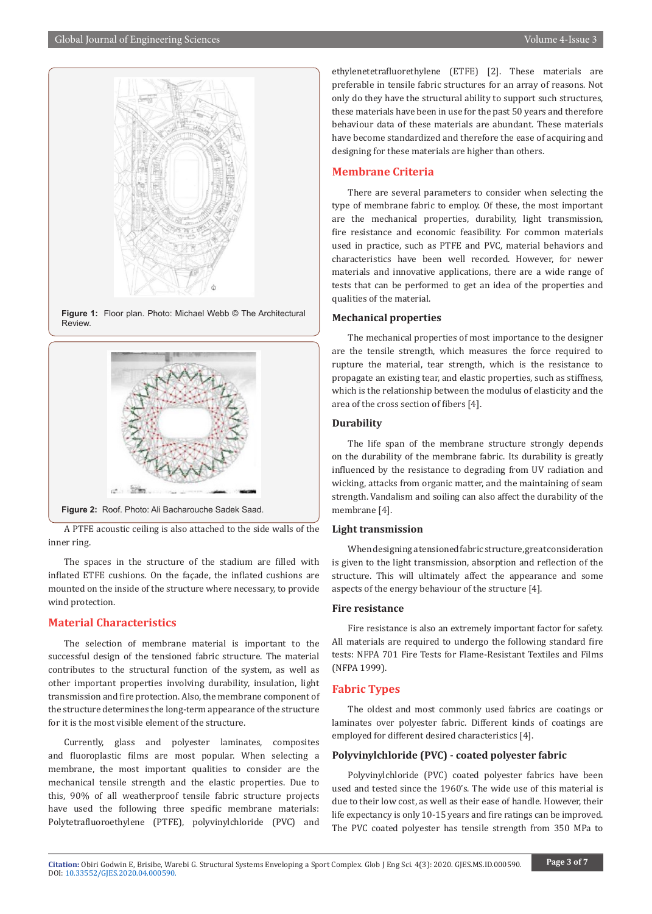

**Figure 1:** Floor plan. Photo: Michael Webb © The Architectural Review.



A PTFE acoustic ceiling is also attached to the side walls of the inner ring.

The spaces in the structure of the stadium are filled with inflated ETFE cushions. On the façade, the inflated cushions are mounted on the inside of the structure where necessary, to provide wind protection.

#### **Material Characteristics**

The selection of membrane material is important to the successful design of the tensioned fabric structure. The material contributes to the structural function of the system, as well as other important properties involving durability, insulation, light transmission and fire protection. Also, the membrane component of the structure determines the long-term appearance of the structure for it is the most visible element of the structure.

Currently, glass and polyester laminates, composites and fluoroplastic films are most popular. When selecting a membrane, the most important qualities to consider are the mechanical tensile strength and the elastic properties. Due to this, 90% of all weatherproof tensile fabric structure projects have used the following three specific membrane materials: Polytetrafluoroethylene (PTFE), polyvinylchloride (PVC) and

ethylenetetrafluorethylene (ETFE) [2]. These materials are preferable in tensile fabric structures for an array of reasons. Not only do they have the structural ability to support such structures, these materials have been in use for the past 50 years and therefore behaviour data of these materials are abundant. These materials have become standardized and therefore the ease of acquiring and designing for these materials are higher than others.

#### **Membrane Criteria**

There are several parameters to consider when selecting the type of membrane fabric to employ. Of these, the most important are the mechanical properties, durability, light transmission, fire resistance and economic feasibility. For common materials used in practice, such as PTFE and PVC, material behaviors and characteristics have been well recorded. However, for newer materials and innovative applications, there are a wide range of tests that can be performed to get an idea of the properties and qualities of the material.

#### **Mechanical properties**

The mechanical properties of most importance to the designer are the tensile strength, which measures the force required to rupture the material, tear strength, which is the resistance to propagate an existing tear, and elastic properties, such as stiffness, which is the relationship between the modulus of elasticity and the area of the cross section of fibers [4].

#### **Durability**

The life span of the membrane structure strongly depends on the durability of the membrane fabric. Its durability is greatly influenced by the resistance to degrading from UV radiation and wicking, attacks from organic matter, and the maintaining of seam strength. Vandalism and soiling can also affect the durability of the membrane [4].

#### **Light transmission**

When designing a tensioned fabric structure, great consideration is given to the light transmission, absorption and reflection of the structure. This will ultimately affect the appearance and some aspects of the energy behaviour of the structure [4].

#### **Fire resistance**

Fire resistance is also an extremely important factor for safety. All materials are required to undergo the following standard fire tests: NFPA 701 Fire Tests for Flame-Resistant Textiles and Films (NFPA 1999).

#### **Fabric Types**

The oldest and most commonly used fabrics are coatings or laminates over polyester fabric. Different kinds of coatings are employed for different desired characteristics [4].

#### **Polyvinylchloride (PVC) - coated polyester fabric**

Polyvinylchloride (PVC) coated polyester fabrics have been used and tested since the 1960's. The wide use of this material is due to their low cost, as well as their ease of handle. However, their life expectancy is only 10-15 years and fire ratings can be improved. The PVC coated polyester has tensile strength from 350 MPa to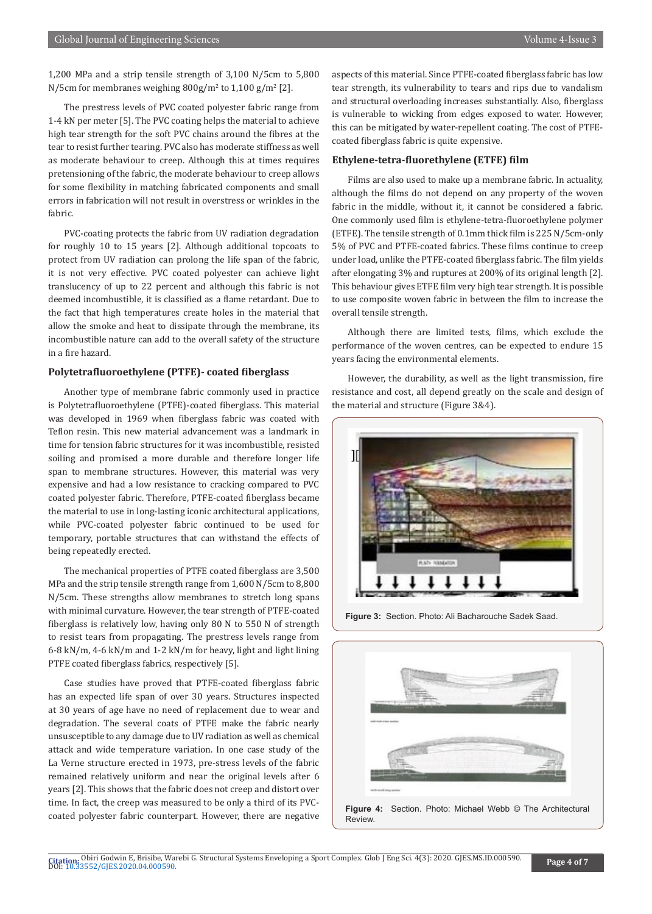1,200 MPa and a strip tensile strength of 3,100 N/5cm to 5,800  $N/5$ cm for membranes weighing  $800$ g/m<sup>2</sup> to  $1,100$  g/m<sup>2</sup> [2].

The prestress levels of PVC coated polyester fabric range from 1-4 kN per meter [5]. The PVC coating helps the material to achieve high tear strength for the soft PVC chains around the fibres at the tear to resist further tearing. PVC also has moderate stiffness as well as moderate behaviour to creep. Although this at times requires pretensioning of the fabric, the moderate behaviour to creep allows for some flexibility in matching fabricated components and small errors in fabrication will not result in overstress or wrinkles in the fabric.

PVC-coating protects the fabric from UV radiation degradation for roughly 10 to 15 years [2]. Although additional topcoats to protect from UV radiation can prolong the life span of the fabric, it is not very effective. PVC coated polyester can achieve light translucency of up to 22 percent and although this fabric is not deemed incombustible, it is classified as a flame retardant. Due to the fact that high temperatures create holes in the material that allow the smoke and heat to dissipate through the membrane, its incombustible nature can add to the overall safety of the structure in a fire hazard.

#### **Polytetrafluoroethylene (PTFE)- coated fiberglass**

Another type of membrane fabric commonly used in practice is Polytetrafluoroethylene (PTFE)-coated fiberglass. This material was developed in 1969 when fiberglass fabric was coated with Teflon resin. This new material advancement was a landmark in time for tension fabric structures for it was incombustible, resisted soiling and promised a more durable and therefore longer life span to membrane structures. However, this material was very expensive and had a low resistance to cracking compared to PVC coated polyester fabric. Therefore, PTFE-coated fiberglass became the material to use in long-lasting iconic architectural applications, while PVC-coated polyester fabric continued to be used for temporary, portable structures that can withstand the effects of being repeatedly erected.

The mechanical properties of PTFE coated fiberglass are 3,500 MPa and the strip tensile strength range from 1,600 N/5cm to 8,800 N/5cm. These strengths allow membranes to stretch long spans with minimal curvature. However, the tear strength of PTFE-coated fiberglass is relatively low, having only 80 N to 550 N of strength to resist tears from propagating. The prestress levels range from 6-8 kN/m, 4-6 kN/m and 1-2 kN/m for heavy, light and light lining PTFE coated fiberglass fabrics, respectively [5].

Case studies have proved that PTFE-coated fiberglass fabric has an expected life span of over 30 years. Structures inspected at 30 years of age have no need of replacement due to wear and degradation. The several coats of PTFE make the fabric nearly unsusceptible to any damage due to UV radiation as well as chemical attack and wide temperature variation. In one case study of the La Verne structure erected in 1973, pre-stress levels of the fabric remained relatively uniform and near the original levels after 6 years [2]. This shows that the fabric does not creep and distort over time. In fact, the creep was measured to be only a third of its PVCcoated polyester fabric counterpart. However, there are negative

aspects of this material. Since PTFE-coated fiberglass fabric has low tear strength, its vulnerability to tears and rips due to vandalism and structural overloading increases substantially. Also, fiberglass is vulnerable to wicking from edges exposed to water. However, this can be mitigated by water-repellent coating. The cost of PTFEcoated fiberglass fabric is quite expensive.

#### **Ethylene-tetra-fluorethylene (ETFE) film**

Films are also used to make up a membrane fabric. In actuality, although the films do not depend on any property of the woven fabric in the middle, without it, it cannot be considered a fabric. One commonly used film is ethylene-tetra-fluoroethylene polymer (ETFE). The tensile strength of 0.1mm thick film is 225 N/5cm-only 5% of PVC and PTFE-coated fabrics. These films continue to creep under load, unlike the PTFE-coated fiberglass fabric. The film yields after elongating 3% and ruptures at 200% of its original length [2]. This behaviour gives ETFE film very high tear strength. It is possible to use composite woven fabric in between the film to increase the overall tensile strength.

Although there are limited tests, films, which exclude the performance of the woven centres, can be expected to endure 15 years facing the environmental elements.

However, the durability, as well as the light transmission, fire resistance and cost, all depend greatly on the scale and design of the material and structure (Figure 3&4).



**Figure 3:** Section. Photo: Ali Bacharouche Sadek Saad.



**Figure 4:** Section. Photo: Michael Webb © The Architectural **Review**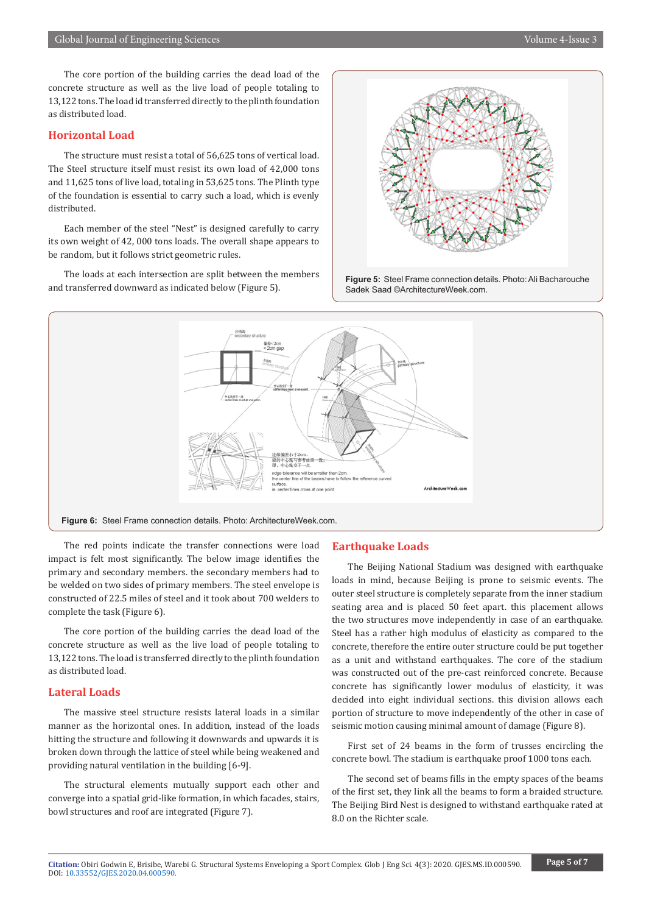The core portion of the building carries the dead load of the concrete structure as well as the live load of people totaling to 13,122 tons. The load id transferred directly to the plinth foundation as distributed load.

### **Horizontal Load**

The structure must resist a total of 56,625 tons of vertical load. The Steel structure itself must resist its own load of 42,000 tons and 11,625 tons of live load, totaling in 53,625 tons. The Plinth type of the foundation is essential to carry such a load, which is evenly distributed.

Each member of the steel "Nest" is designed carefully to carry its own weight of 42, 000 tons loads. The overall shape appears to be random, but it follows strict geometric rules.

The loads at each intersection are split between the members and transferred downward as indicated below (Figure 5).



![](_page_4_Figure_8.jpeg)

![](_page_4_Figure_9.jpeg)

The red points indicate the transfer connections were load impact is felt most significantly. The below image identifies the primary and secondary members. the secondary members had to be welded on two sides of primary members. The steel envelope is constructed of 22.5 miles of steel and it took about 700 welders to complete the task (Figure 6).

The core portion of the building carries the dead load of the concrete structure as well as the live load of people totaling to 13,122 tons. The load is transferred directly to the plinth foundation as distributed load.

#### **Lateral Loads**

The massive steel structure resists lateral loads in a similar manner as the horizontal ones. In addition, instead of the loads hitting the structure and following it downwards and upwards it is broken down through the lattice of steel while being weakened and providing natural ventilation in the building [6-9].

The structural elements mutually support each other and converge into a spatial grid-like formation, in which facades, stairs, bowl structures and roof are integrated (Figure 7).

#### **Earthquake Loads**

The Beijing National Stadium was designed with earthquake loads in mind, because Beijing is prone to seismic events. The outer steel structure is completely separate from the inner stadium seating area and is placed 50 feet apart. this placement allows the two structures move independently in case of an earthquake. Steel has a rather high modulus of elasticity as compared to the concrete, therefore the entire outer structure could be put together as a unit and withstand earthquakes. The core of the stadium was constructed out of the pre-cast reinforced concrete. Because concrete has significantly lower modulus of elasticity, it was decided into eight individual sections. this division allows each portion of structure to move independently of the other in case of seismic motion causing minimal amount of damage (Figure 8).

First set of 24 beams in the form of trusses encircling the concrete bowl. The stadium is earthquake proof 1000 tons each.

The second set of beams fills in the empty spaces of the beams of the first set, they link all the beams to form a braided structure. The Beijing Bird Nest is designed to withstand earthquake rated at 8.0 on the Richter scale.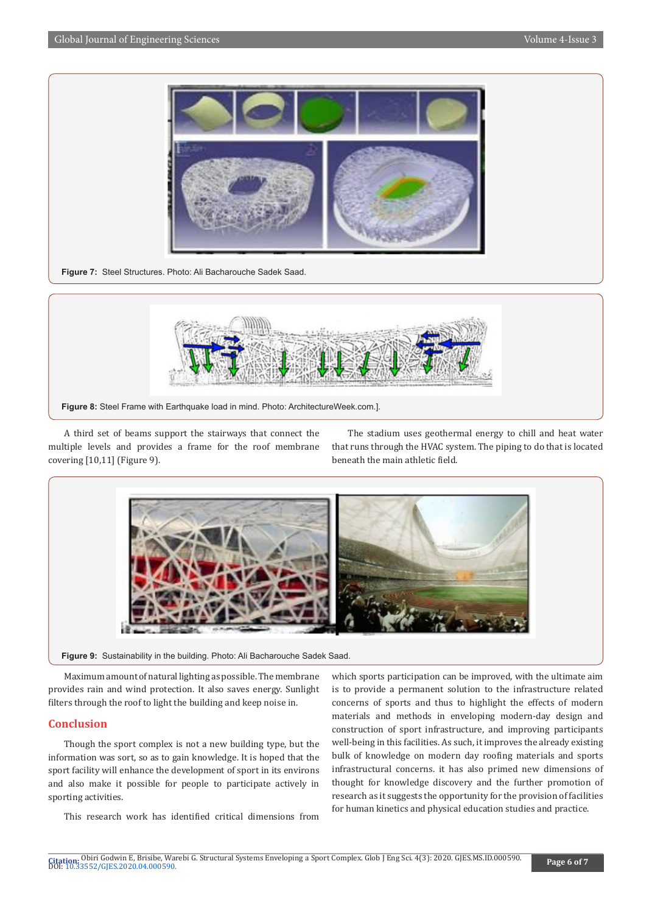![](_page_5_Picture_2.jpeg)

**Figure 7:** Steel Structures. Photo: Ali Bacharouche Sadek Saad.

![](_page_5_Figure_4.jpeg)

A third set of beams support the stairways that connect the multiple levels and provides a frame for the roof membrane covering [10,11] (Figure 9).

The stadium uses geothermal energy to chill and heat water that runs through the HVAC system. The piping to do that is located beneath the main athletic field.

![](_page_5_Picture_7.jpeg)

**Figure 9:** Sustainability in the building. Photo: Ali Bacharouche Sadek Saad.

Maximum amount of natural lighting as possible. The membrane provides rain and wind protection. It also saves energy. Sunlight filters through the roof to light the building and keep noise in.

#### **Conclusion**

Though the sport complex is not a new building type, but the information was sort, so as to gain knowledge. It is hoped that the sport facility will enhance the development of sport in its environs and also make it possible for people to participate actively in sporting activities.

This research work has identified critical dimensions from

which sports participation can be improved, with the ultimate aim is to provide a permanent solution to the infrastructure related concerns of sports and thus to highlight the effects of modern materials and methods in enveloping modern-day design and construction of sport infrastructure, and improving participants well-being in this facilities. As such, it improves the already existing bulk of knowledge on modern day roofing materials and sports infrastructural concerns. it has also primed new dimensions of thought for knowledge discovery and the further promotion of research as it suggests the opportunity for the provision of facilities for human kinetics and physical education studies and practice.